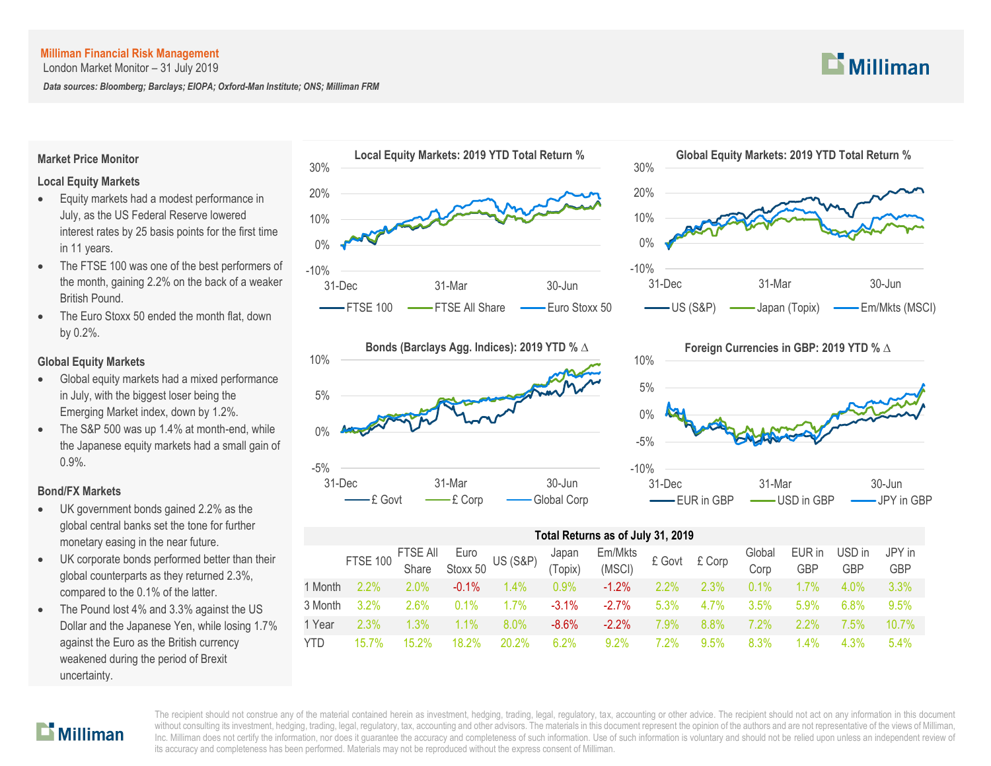London Market Monitor – 31 July 2019

*Data sources: Bloomberg; Barclays; EIOPA; Oxford-Man Institute; ONS; Milliman FRM*

## **Market Price Monitor**

## **Local Equity Markets**

- Equity markets had a modest performance in July, as the US Federal Reserve lowered interest rates by 25 basis points for the first time in 11 years.
- The FTSE 100 was one of the best performers of the month, gaining 2.2% on the back of a weaker British Pound.
- The Euro Stoxx 50 ended the month flat, down by 0.2%.

## **Global Equity Markets**

- Global equity markets had a mixed performance in July, with the biggest loser being the Emerging Market index, down by 1.2%.
- The S&P 500 was up 1.4% at month-end, while the Japanese equity markets had a small gain of 0.9%.

## **Bond/FX Markets**

- UK government bonds gained 2.2% as the global central banks set the tone for further monetary easing in the near future.
- UK corporate bonds performed better than their global counterparts as they returned 2.3%, compared to the 0.1% of the latter.
- The Pound lost 4% and 3.3% against the US Dollar and the Japanese Yen, while losing 1.7% against the Euro as the British currency weakened during the period of Brexit uncertainty.









# **Total Returns as of July 31, 2019**

|            |         |          |          |         |          | FTSE 100 FTSE All Euro US (S&P) Japan Em/Mkts<br>Share Stoxx 50 US (S&P) (Topix) (MSCI) £ Govt £ Corp |         |         | Global<br>Corp | EUR in<br><b>GBP</b> | USD in<br><b>GBP</b> | JPY in<br>GBP |
|------------|---------|----------|----------|---------|----------|-------------------------------------------------------------------------------------------------------|---------|---------|----------------|----------------------|----------------------|---------------|
| l Month    | $2.2\%$ | $2.0\%$  | $-0.1\%$ | $1.4\%$ | $0.9\%$  | $-1.2\%$                                                                                              | $2.2\%$ | $2.3\%$ | $0.1\%$        | $1.7\%$              | $4.0\%$              | 3.3%          |
| 3 Month    | $3.2\%$ | 2.6%     | $0.1\%$  | $1.7\%$ | $-3.1\%$ | $-2.7\%$                                                                                              | $5.3\%$ | $4.7\%$ | $3.5\%$        | $5.9\%$              | 6.8%                 | 9.5%          |
| 1 Year     | $2.3\%$ | 1.3%     | $1.1\%$  | $8.0\%$ | -8.6%    | $-2.2\%$                                                                                              | 7.9%    | 8.8%    | $7.2\%$        | $2.2\%$              | 7.5%                 | $10.7\%$      |
| <b>YTD</b> | 15 7%   | $15.2\%$ | $18.2\%$ | 20.2%   | $6.2\%$  | $9.2\%$                                                                                               | $2\%$   | 9.5%    | 8.3%           | $1.4\%$              | 4.3%                 | 5.4%          |



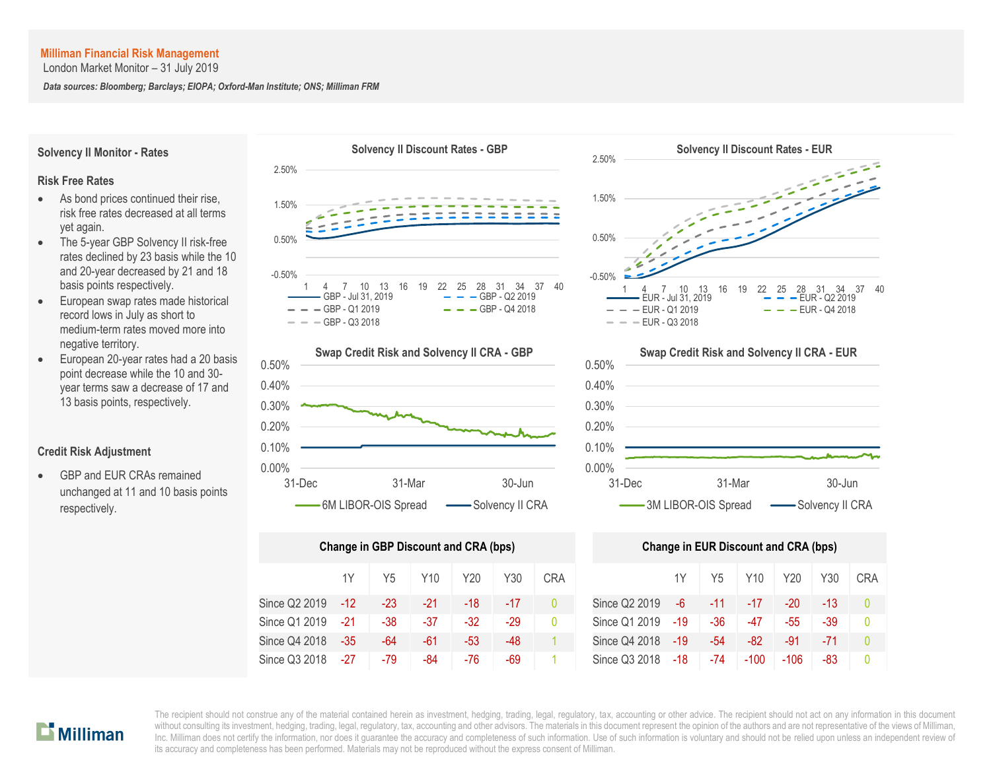London Market Monitor – 31 July 2019

*Data sources: Bloomberg; Barclays; EIOPA; Oxford-Man Institute; ONS; Milliman FRM*

# **Solvency II Monitor - Rates**

#### **Risk Free Rates**

- As bond prices continued their rise. risk free rates decreased at all terms yet again.
- The 5-year GBP Solvency II risk-free rates declined by 23 basis while the 10 and 20-year decreased by 21 and 18 basis points respectively.
- European swap rates made historical record lows in July as short to medium-term rates moved more into negative territory.
- European 20-year rates had a 20 basis point decrease while the 10 and 30 year terms saw a decrease of 17 and 13 basis points, respectively.

#### **Credit Risk Adjustment**

 GBP and EUR CRAs remained unchanged at 11 and 10 basis points respectively.





| Change in GBP Discount and CRA (bps) | <b>Change in EUR Discount and CRA (bps)</b> |       |       |       |       |            |               |     |       |        |        |       |    |
|--------------------------------------|---------------------------------------------|-------|-------|-------|-------|------------|---------------|-----|-------|--------|--------|-------|----|
|                                      | 1Y                                          | Y5    | Y10.  | Y20   | Y30   | <b>CRA</b> |               | 1Y  | Y5    | Y10    | Y20    | Y30   | CR |
| Since Q2 2019                        | $-12$                                       | $-23$ | -21   | -18   | $-17$ | 0          | Since Q2 2019 | -6  | $-11$ | -17    | $-20$  | $-13$ | 0  |
| Since Q1 2019                        | $-21$                                       | $-38$ | $-37$ | $-32$ | -29   | 0          | Since Q1 2019 | -19 | $-36$ | $-47$  | $-55$  | $-39$ | 0  |
| Since Q4 2018                        | $-35$                                       | -64   | -61   | -53   | -48   |            | Since Q4 2018 | -19 | $-54$ | -82    | -91    | $-71$ | Ω  |
| Since Q3 2018                        | $-27$                                       | -79   | -84   | -76   | -69   |            | Since Q3 2018 | -18 | -74   | $-100$ | $-106$ | -83   | 0  |





|     | ge in GBP Discount and CRA (bps) |                 |       |       |            | <b>Change in EUR Discount and CRA (bps)</b> |       |       |        |        |     |            |  |
|-----|----------------------------------|-----------------|-------|-------|------------|---------------------------------------------|-------|-------|--------|--------|-----|------------|--|
| 1Y  | Y5                               | Y <sub>10</sub> | Y20   | Y30   | <b>CRA</b> |                                             | 1Y    | Y5    | Y10    | Y20    | Y30 | <b>CRA</b> |  |
| -12 | -23                              | -21             | -18   | $-17$ |            | Since Q2 2019                               | -6    | -11   | $-17$  | $-20$  | -13 | $\Omega$   |  |
| -21 | $-38$                            | $-37$           | $-32$ | $-29$ | 0          | Since Q1 2019                               | -19   | -36   | -47    | -55    | -39 | $\Omega$   |  |
| -35 | -64                              | -61             | -53   | -48   |            | Since Q4 2018                               | $-19$ | $-54$ | -82    | -91    | -71 | $\Omega$   |  |
| -27 | -79                              | -84             | -76   | -69   |            | Since Q3 2018                               | -18   | -74   | $-100$ | $-106$ | -83 |            |  |

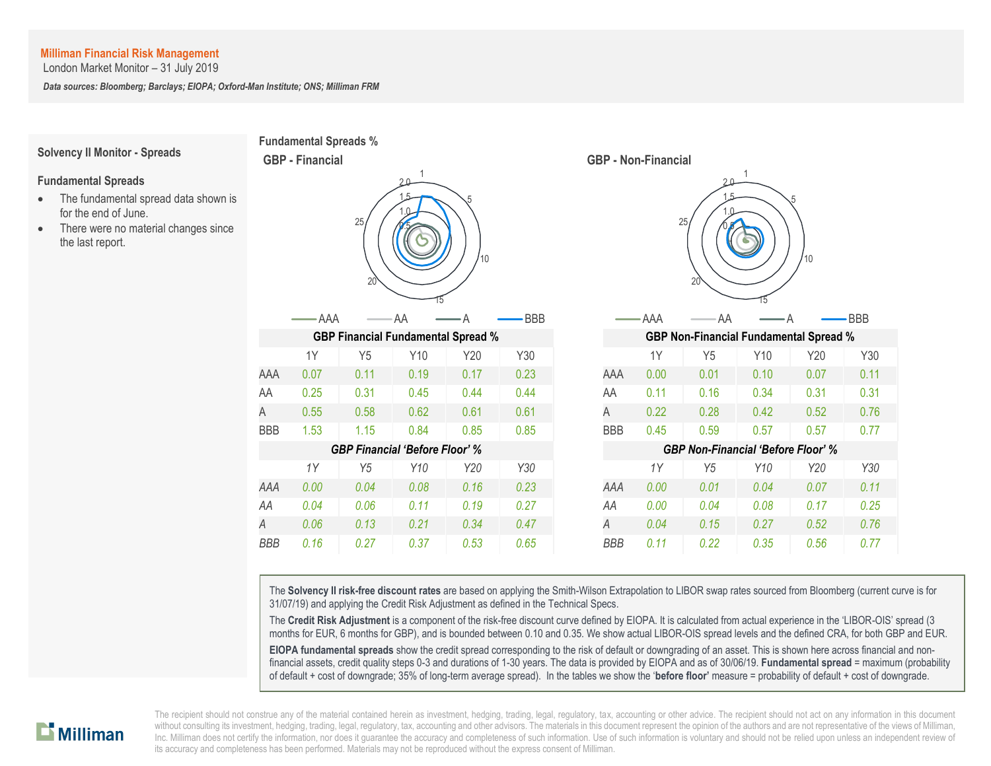London Market Monitor – 31 July 2019

*Data sources: Bloomberg; Barclays; EIOPA; Oxford-Man Institute; ONS; Milliman FRM*

#### **Solvency II Monitor - Spreads**

#### **Fundamental Spreads**

- The fundamental spread data shown is for the end of June.
- There were no material changes since the last report.





The **Solvency II risk-free discount rates** are based on applying the Smith-Wilson Extrapolation to LIBOR swap rates sourced from Bloomberg (current curve is for 31/07/19) and applying the Credit Risk Adjustment as defined in the Technical Specs.

The **Credit Risk Adjustment** is a component of the risk-free discount curve defined by EIOPA. It is calculated from actual experience in the 'LIBOR-OIS' spread (3 months for EUR, 6 months for GBP), and is bounded between 0.10 and 0.35. We show actual LIBOR-OIS spread levels and the defined CRA, for both GBP and EUR.

**EIOPA fundamental spreads** show the credit spread corresponding to the risk of default or downgrading of an asset. This is shown here across financial and nonfinancial assets, credit quality steps 0-3 and durations of 1-30 years. The data is provided by EIOPA and as of 30/06/19. **Fundamental spread** = maximum (probability of default + cost of downgrade; 35% of long-term average spread). In the tables we show the '**before floor'** measure = probability of default + cost of downgrade.

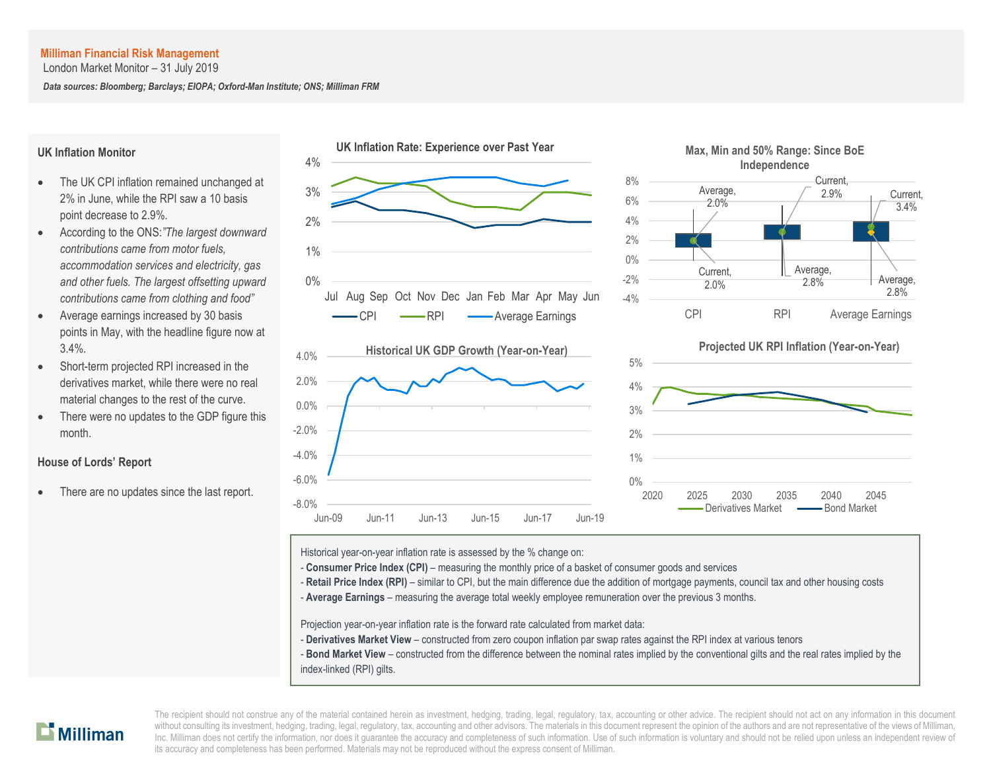London Market Monitor – 31 July 2019

*Data sources: Bloomberg; Barclays; EIOPA; Oxford-Man Institute; ONS; Milliman FRM*

#### **UK Inflation Monitor**

- The UK CPI inflation remained unchanged at 2% in June, while the RPI saw a 10 basis point decrease to 2.9%.
- According to the ONS:*"The largest downward contributions came from motor fuels, accommodation services and electricity, gas and other fuels. The largest offsetting upward contributions came from clothing and food"*
- Average earnings increased by 30 basis points in May, with the headline figure now at 3.4%.
- Short-term projected RPI increased in the derivatives market, while there were no real material changes to the rest of the curve.
- There were no updates to the GDP figure this month.

## **House of Lords' Report**

There are no updates since the last report.



2.8%

3.4%

Historical year-on-year inflation rate is assessed by the % change on:

- **Consumer Price Index (CPI)** measuring the monthly price of a basket of consumer goods and services
- Retail Price Index (RPI) similar to CPI, but the main difference due the addition of mortgage payments, council tax and other housing costs
- A **Average Earnings** measuring the average total weekly employee remuneration over the previous 3 months.

Projection year-on-year inflation rate is the forward rate calculated from market data:

- **Derivatives Market View** constructed from zero coupon inflation par swap rates against the RPI index at various tenors
- **Bond Market View** constructed from the difference between the nominal rates implied by the conventional gilts and the real rates implied by the index-linked (RPI) gilts.

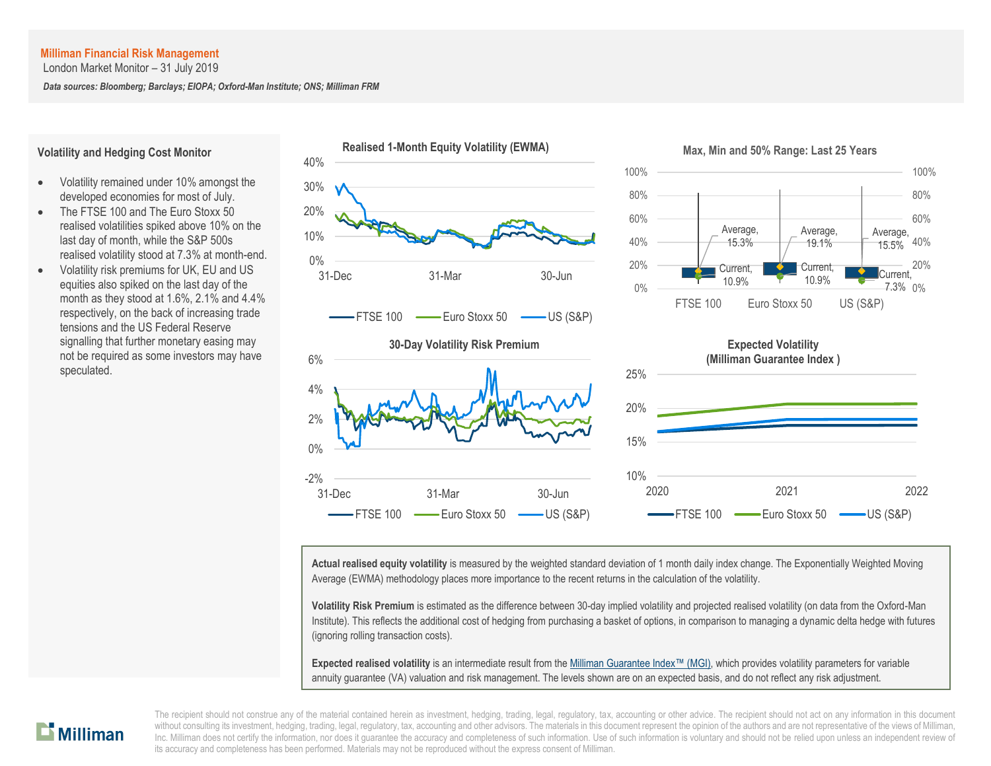London Market Monitor – 31 July 2019

*Data sources: Bloomberg; Barclays; EIOPA; Oxford-Man Institute; ONS; Milliman FRM*

#### **Volatility and Hedging Cost Monitor**

- Volatility remained under 10% amongst the developed economies for most of July.
- The FTSE 100 and The Euro Stoxx 50 realised volatilities spiked above 10% on the last day of month, while the S&P 500s realised volatility stood at 7.3% at month-end.
- Volatility risk premiums for UK, EU and US equities also spiked on the last day of the month as they stood at 1.6%, 2.1% and 4.4% respectively, on the back of increasing trade tensions and the US Federal Reserve signalling that further monetary easing may not be required as some investors may have speculated.



**Actual realised equity volatility** is measured by the weighted standard deviation of 1 month daily index change. The Exponentially Weighted Moving Average (EWMA) methodology places more importance to the recent returns in the calculation of the volatility.

**Volatility Risk Premium** is estimated as the difference between 30-day implied volatility and projected realised volatility (on data from the Oxford-Man Institute). This reflects the additional cost of hedging from purchasing a basket of options, in comparison to managing a dynamic delta hedge with futures (ignoring rolling transaction costs).

**Expected realised volatility** is an intermediate result from th[e Milliman Guarantee Index](http://uk.milliman.com/Solutions/Products/The-Milliman-Guarantee-Index-and-Milliman-Hedge-Cost-Index/)™ (MGI), which provides volatility parameters for variable annuity guarantee (VA) valuation and risk management. The levels shown are on an expected basis, and do not reflect any risk adjustment.